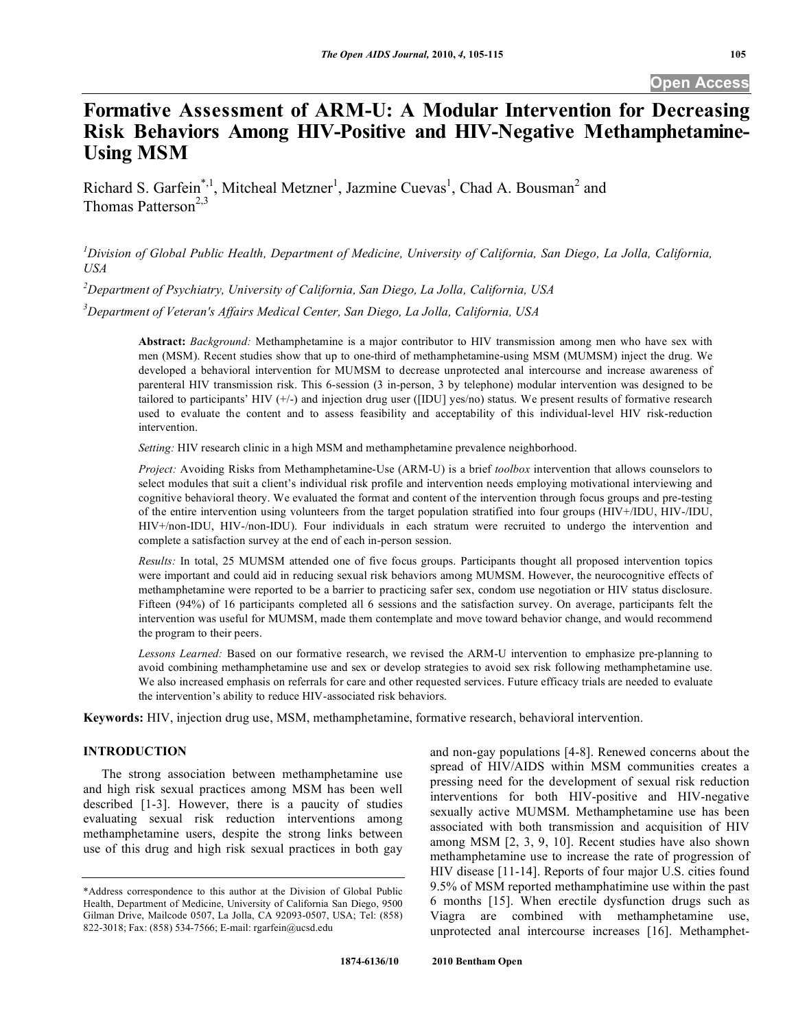# **Formative Assessment of ARM-U: A Modular Intervention for Decreasing Risk Behaviors Among HIV-Positive and HIV-Negative Methamphetamine-Using MSM**

Richard S. Garfein<sup>\*,1</sup>, Mitcheal Metzner<sup>1</sup>, Jazmine Cuevas<sup>1</sup>, Chad A. Bousman<sup>2</sup> and Thomas Patterson<sup>2,3</sup>

*1 Division of Global Public Health, Department of Medicine, University of California, San Diego, La Jolla, California, USA* 

*2 Department of Psychiatry, University of California, San Diego, La Jolla, California, USA* 

*3 Department of Veteran's Affairs Medical Center, San Diego, La Jolla, California, USA* 

**Abstract:** *Background:* Methamphetamine is a major contributor to HIV transmission among men who have sex with men (MSM). Recent studies show that up to one-third of methamphetamine-using MSM (MUMSM) inject the drug. We developed a behavioral intervention for MUMSM to decrease unprotected anal intercourse and increase awareness of parenteral HIV transmission risk. This 6-session (3 in-person, 3 by telephone) modular intervention was designed to be tailored to participants' HIV (+/-) and injection drug user ([IDU] yes/no) status. We present results of formative research used to evaluate the content and to assess feasibility and acceptability of this individual-level HIV risk-reduction intervention.

*Setting:* HIV research clinic in a high MSM and methamphetamine prevalence neighborhood.

*Project:* Avoiding Risks from Methamphetamine-Use (ARM-U) is a brief *toolbox* intervention that allows counselors to select modules that suit a client's individual risk profile and intervention needs employing motivational interviewing and cognitive behavioral theory. We evaluated the format and content of the intervention through focus groups and pre-testing of the entire intervention using volunteers from the target population stratified into four groups (HIV+/IDU, HIV-/IDU, HIV+/non-IDU, HIV-/non-IDU). Four individuals in each stratum were recruited to undergo the intervention and complete a satisfaction survey at the end of each in-person session.

*Results:* In total, 25 MUMSM attended one of five focus groups. Participants thought all proposed intervention topics were important and could aid in reducing sexual risk behaviors among MUMSM. However, the neurocognitive effects of methamphetamine were reported to be a barrier to practicing safer sex, condom use negotiation or HIV status disclosure. Fifteen (94%) of 16 participants completed all 6 sessions and the satisfaction survey. On average, participants felt the intervention was useful for MUMSM, made them contemplate and move toward behavior change, and would recommend the program to their peers.

*Lessons Learned:* Based on our formative research, we revised the ARM-U intervention to emphasize pre-planning to avoid combining methamphetamine use and sex or develop strategies to avoid sex risk following methamphetamine use. We also increased emphasis on referrals for care and other requested services. Future efficacy trials are needed to evaluate the intervention's ability to reduce HIV-associated risk behaviors.

**Keywords:** HIV, injection drug use, MSM, methamphetamine, formative research, behavioral intervention.

#### **INTRODUCTION**

 The strong association between methamphetamine use and high risk sexual practices among MSM has been well described [1-3]. However, there is a paucity of studies evaluating sexual risk reduction interventions among methamphetamine users, despite the strong links between use of this drug and high risk sexual practices in both gay

and non-gay populations [4-8]. Renewed concerns about the spread of HIV/AIDS within MSM communities creates a pressing need for the development of sexual risk reduction interventions for both HIV-positive and HIV-negative sexually active MUMSM. Methamphetamine use has been associated with both transmission and acquisition of HIV among MSM [2, 3, 9, 10]. Recent studies have also shown methamphetamine use to increase the rate of progression of HIV disease [11-14]. Reports of four major U.S. cities found 9.5% of MSM reported methamphatimine use within the past 6 months [15]. When erectile dysfunction drugs such as Viagra are combined with methamphetamine use, unprotected anal intercourse increases [16]. Methamphet-

<sup>\*</sup>Address correspondence to this author at the Division of Global Public Health, Department of Medicine, University of California San Diego, 9500 Gilman Drive, Mailcode 0507, La Jolla, CA 92093-0507, USA; Tel: (858) 822-3018; Fax: (858) 534-7566; E-mail: rgarfein@ucsd.edu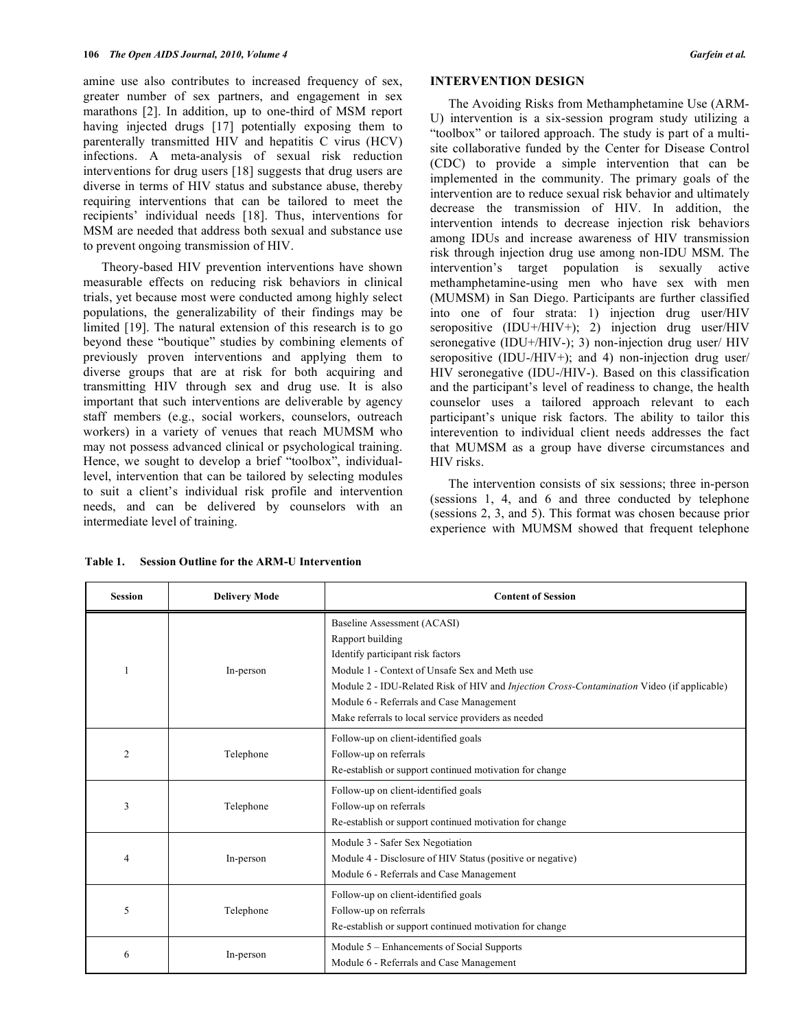amine use also contributes to increased frequency of sex, greater number of sex partners, and engagement in sex marathons [2]. In addition, up to one-third of MSM report having injected drugs [17] potentially exposing them to parenterally transmitted HIV and hepatitis C virus (HCV) infections. A meta-analysis of sexual risk reduction interventions for drug users [18] suggests that drug users are diverse in terms of HIV status and substance abuse, thereby requiring interventions that can be tailored to meet the recipients' individual needs [18]. Thus, interventions for MSM are needed that address both sexual and substance use to prevent ongoing transmission of HIV.

 Theory-based HIV prevention interventions have shown measurable effects on reducing risk behaviors in clinical trials, yet because most were conducted among highly select populations, the generalizability of their findings may be limited [19]. The natural extension of this research is to go beyond these "boutique" studies by combining elements of previously proven interventions and applying them to diverse groups that are at risk for both acquiring and transmitting HIV through sex and drug use. It is also important that such interventions are deliverable by agency staff members (e.g., social workers, counselors, outreach workers) in a variety of venues that reach MUMSM who may not possess advanced clinical or psychological training. Hence, we sought to develop a brief "toolbox", individuallevel, intervention that can be tailored by selecting modules to suit a client's individual risk profile and intervention needs, and can be delivered by counselors with an intermediate level of training.

#### **INTERVENTION DESIGN**

 The Avoiding Risks from Methamphetamine Use (ARM-U) intervention is a six-session program study utilizing a "toolbox" or tailored approach. The study is part of a multisite collaborative funded by the Center for Disease Control (CDC) to provide a simple intervention that can be implemented in the community. The primary goals of the intervention are to reduce sexual risk behavior and ultimately decrease the transmission of HIV. In addition, the intervention intends to decrease injection risk behaviors among IDUs and increase awareness of HIV transmission risk through injection drug use among non-IDU MSM. The intervention's target population is sexually active methamphetamine-using men who have sex with men (MUMSM) in San Diego. Participants are further classified into one of four strata: 1) injection drug user/HIV seropositive (IDU+/HIV+); 2) injection drug user/HIV seronegative (IDU+/HIV-); 3) non-injection drug user/ HIV seropositive (IDU-/HIV+); and 4) non-injection drug user/ HIV seronegative (IDU-/HIV-). Based on this classification and the participant's level of readiness to change, the health counselor uses a tailored approach relevant to each participant's unique risk factors. The ability to tailor this interevention to individual client needs addresses the fact that MUMSM as a group have diverse circumstances and HIV risks.

 The intervention consists of six sessions; three in-person (sessions 1, 4, and 6 and three conducted by telephone (sessions 2, 3, and 5). This format was chosen because prior experience with MUMSM showed that frequent telephone

| <b>Session</b> | <b>Delivery Mode</b> | <b>Content of Session</b>                                                                                                                                                                                                                                                                                                                     |
|----------------|----------------------|-----------------------------------------------------------------------------------------------------------------------------------------------------------------------------------------------------------------------------------------------------------------------------------------------------------------------------------------------|
|                | In-person            | Baseline Assessment (ACASI)<br>Rapport building<br>Identify participant risk factors<br>Module 1 - Context of Unsafe Sex and Meth use<br>Module 2 - IDU-Related Risk of HIV and <i>Injection Cross-Contamination</i> Video (if applicable)<br>Module 6 - Referrals and Case Management<br>Make referrals to local service providers as needed |
| 2              | Telephone            | Follow-up on client-identified goals<br>Follow-up on referrals<br>Re-establish or support continued motivation for change                                                                                                                                                                                                                     |
| 3              | Telephone            | Follow-up on client-identified goals<br>Follow-up on referrals<br>Re-establish or support continued motivation for change                                                                                                                                                                                                                     |
| 4              | In-person            | Module 3 - Safer Sex Negotiation<br>Module 4 - Disclosure of HIV Status (positive or negative)<br>Module 6 - Referrals and Case Management                                                                                                                                                                                                    |
| 5              | Telephone            | Follow-up on client-identified goals<br>Follow-up on referrals<br>Re-establish or support continued motivation for change                                                                                                                                                                                                                     |
| 6              | In-person            | Module 5 – Enhancements of Social Supports<br>Module 6 - Referrals and Case Management                                                                                                                                                                                                                                                        |

**Table 1. Session Outline for the ARM-U Intervention**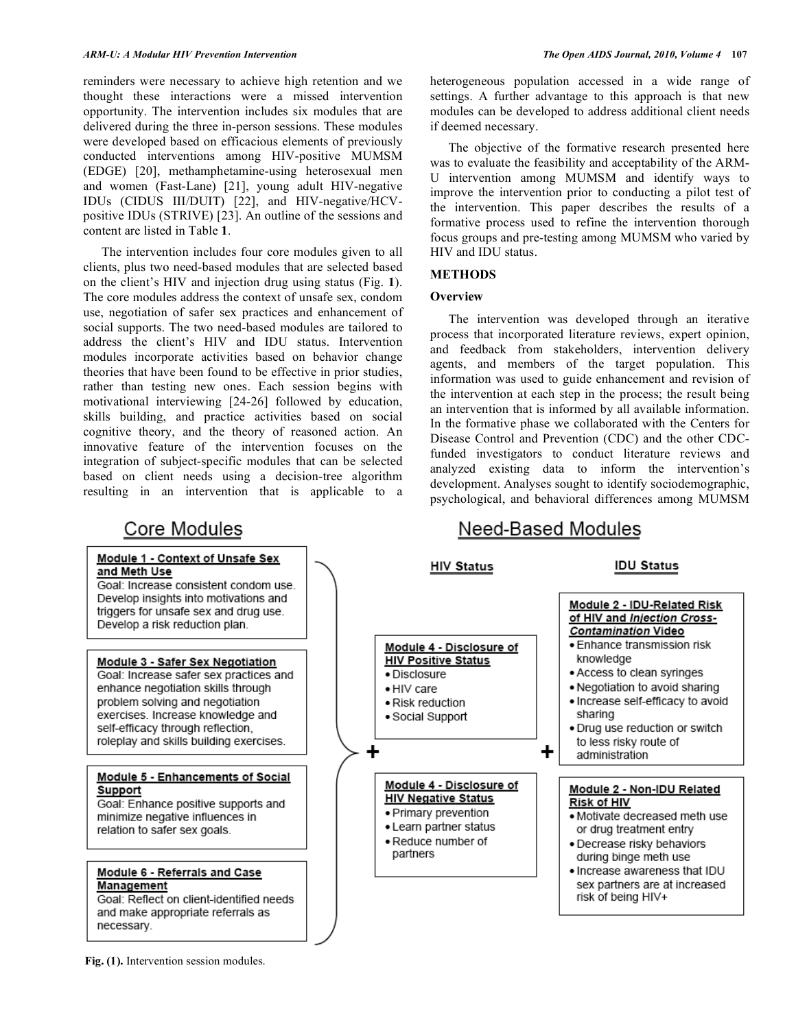reminders were necessary to achieve high retention and we thought these interactions were a missed intervention opportunity. The intervention includes six modules that are delivered during the three in-person sessions. These modules were developed based on efficacious elements of previously conducted interventions among HIV-positive MUMSM (EDGE) [20], methamphetamine-using heterosexual men and women (Fast-Lane) [21], young adult HIV-negative IDUs (CIDUS III/DUIT) [22], and HIV-negative/HCVpositive IDUs (STRIVE) [23]. An outline of the sessions and content are listed in Table **1**.

 The intervention includes four core modules given to all clients, plus two need-based modules that are selected based on the client's HIV and injection drug using status (Fig. **1**). The core modules address the context of unsafe sex, condom use, negotiation of safer sex practices and enhancement of social supports. The two need-based modules are tailored to address the client's HIV and IDU status. Intervention modules incorporate activities based on behavior change theories that have been found to be effective in prior studies, rather than testing new ones. Each session begins with motivational interviewing [24-26] followed by education, skills building, and practice activities based on social cognitive theory, and the theory of reasoned action. An innovative feature of the intervention focuses on the integration of subject-specific modules that can be selected based on client needs using a decision-tree algorithm resulting in an intervention that is applicable to a

heterogeneous population accessed in a wide range of settings. A further advantage to this approach is that new modules can be developed to address additional client needs if deemed necessary.

 The objective of the formative research presented here was to evaluate the feasibility and acceptability of the ARM-U intervention among MUMSM and identify ways to improve the intervention prior to conducting a pilot test of the intervention. This paper describes the results of a formative process used to refine the intervention thorough focus groups and pre-testing among MUMSM who varied by HIV and IDU status.

## **METHODS**

#### **Overview**

 The intervention was developed through an iterative process that incorporated literature reviews, expert opinion, and feedback from stakeholders, intervention delivery agents, and members of the target population. This information was used to guide enhancement and revision of the intervention at each step in the process; the result being an intervention that is informed by all available information. In the formative phase we collaborated with the Centers for Disease Control and Prevention (CDC) and the other CDCfunded investigators to conduct literature reviews and analyzed existing data to inform the intervention's development. Analyses sought to identify sociodemographic, psychological, and behavioral differences among MUMSM

## Core Modules

#### Module 1 - Context of Unsafe Sex and Meth Use

Goal: Increase consistent condom use. Develop insights into motivations and triggers for unsafe sex and drug use. Develop a risk reduction plan.

#### Module 3 - Safer Sex Negotiation Goal: Increase safer sex practices and enhance negotiation skills through problem solving and negotiation exercises. Increase knowledge and self-efficacy through reflection, roleplay and skills building exercises.

#### Module 5 - Enhancements of Social Support

Goal: Enhance positive supports and minimize negative influences in relation to safer sex goals.

## Module 6 - Referrals and Case **Management**

Goal: Reflect on client-identified needs and make appropriate referrals as necessary.

# Need-Based Modules



**Fig. (1).** Intervention session modules.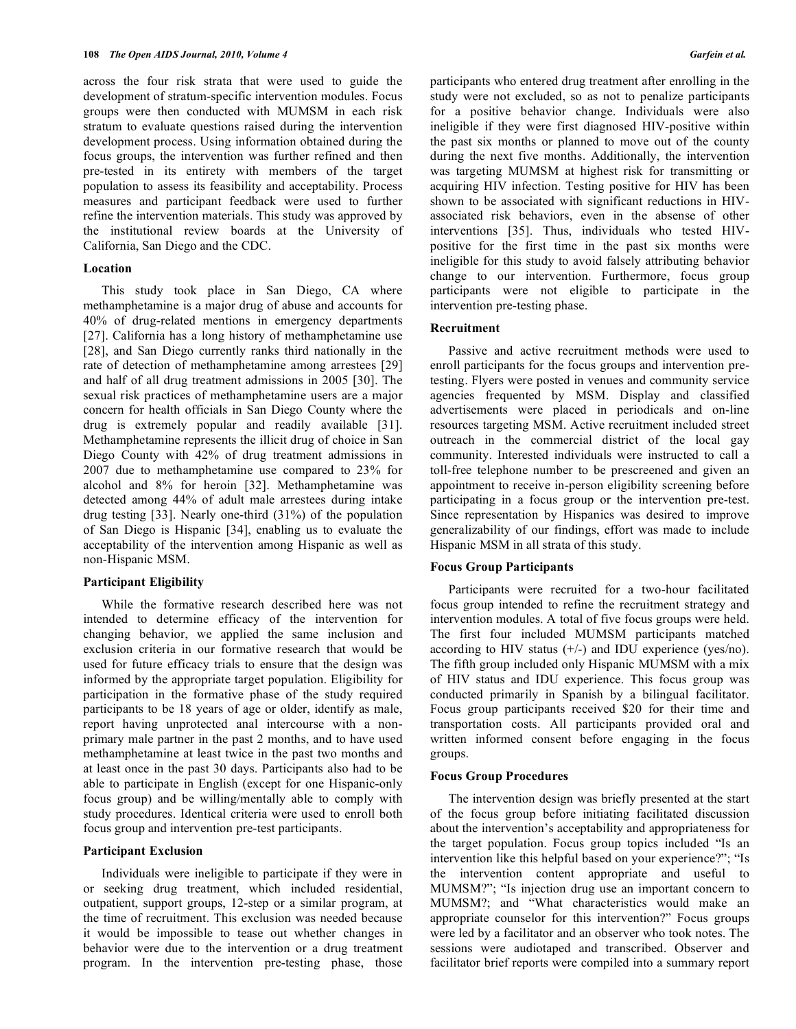across the four risk strata that were used to guide the development of stratum-specific intervention modules. Focus groups were then conducted with MUMSM in each risk stratum to evaluate questions raised during the intervention development process. Using information obtained during the focus groups, the intervention was further refined and then pre-tested in its entirety with members of the target population to assess its feasibility and acceptability. Process measures and participant feedback were used to further refine the intervention materials. This study was approved by the institutional review boards at the University of California, San Diego and the CDC.

#### **Location**

 This study took place in San Diego, CA where methamphetamine is a major drug of abuse and accounts for 40% of drug-related mentions in emergency departments [27]. California has a long history of methamphetamine use [28], and San Diego currently ranks third nationally in the rate of detection of methamphetamine among arrestees [29] and half of all drug treatment admissions in 2005 [30]. The sexual risk practices of methamphetamine users are a major concern for health officials in San Diego County where the drug is extremely popular and readily available [31]. Methamphetamine represents the illicit drug of choice in San Diego County with 42% of drug treatment admissions in 2007 due to methamphetamine use compared to 23% for alcohol and 8% for heroin [32]. Methamphetamine was detected among 44% of adult male arrestees during intake drug testing [33]. Nearly one-third (31%) of the population of San Diego is Hispanic [34], enabling us to evaluate the acceptability of the intervention among Hispanic as well as non-Hispanic MSM.

#### **Participant Eligibility**

 While the formative research described here was not intended to determine efficacy of the intervention for changing behavior, we applied the same inclusion and exclusion criteria in our formative research that would be used for future efficacy trials to ensure that the design was informed by the appropriate target population. Eligibility for participation in the formative phase of the study required participants to be 18 years of age or older, identify as male, report having unprotected anal intercourse with a nonprimary male partner in the past 2 months, and to have used methamphetamine at least twice in the past two months and at least once in the past 30 days. Participants also had to be able to participate in English (except for one Hispanic-only focus group) and be willing/mentally able to comply with study procedures. Identical criteria were used to enroll both focus group and intervention pre-test participants.

## **Participant Exclusion**

 Individuals were ineligible to participate if they were in or seeking drug treatment, which included residential, outpatient, support groups, 12-step or a similar program, at the time of recruitment. This exclusion was needed because it would be impossible to tease out whether changes in behavior were due to the intervention or a drug treatment program. In the intervention pre-testing phase, those

participants who entered drug treatment after enrolling in the study were not excluded, so as not to penalize participants for a positive behavior change. Individuals were also ineligible if they were first diagnosed HIV-positive within the past six months or planned to move out of the county during the next five months. Additionally, the intervention was targeting MUMSM at highest risk for transmitting or acquiring HIV infection. Testing positive for HIV has been shown to be associated with significant reductions in HIVassociated risk behaviors, even in the absense of other interventions [35]. Thus, individuals who tested HIVpositive for the first time in the past six months were ineligible for this study to avoid falsely attributing behavior change to our intervention. Furthermore, focus group participants were not eligible to participate in the intervention pre-testing phase.

#### **Recruitment**

 Passive and active recruitment methods were used to enroll participants for the focus groups and intervention pretesting. Flyers were posted in venues and community service agencies frequented by MSM. Display and classified advertisements were placed in periodicals and on-line resources targeting MSM. Active recruitment included street outreach in the commercial district of the local gay community. Interested individuals were instructed to call a toll-free telephone number to be prescreened and given an appointment to receive in-person eligibility screening before participating in a focus group or the intervention pre-test. Since representation by Hispanics was desired to improve generalizability of our findings, effort was made to include Hispanic MSM in all strata of this study.

#### **Focus Group Participants**

 Participants were recruited for a two-hour facilitated focus group intended to refine the recruitment strategy and intervention modules. A total of five focus groups were held. The first four included MUMSM participants matched according to HIV status  $(+/-)$  and IDU experience (yes/no). The fifth group included only Hispanic MUMSM with a mix of HIV status and IDU experience. This focus group was conducted primarily in Spanish by a bilingual facilitator. Focus group participants received \$20 for their time and transportation costs. All participants provided oral and written informed consent before engaging in the focus groups.

#### **Focus Group Procedures**

 The intervention design was briefly presented at the start of the focus group before initiating facilitated discussion about the intervention's acceptability and appropriateness for the target population. Focus group topics included "Is an intervention like this helpful based on your experience?"; "Is the intervention content appropriate and useful to MUMSM?"; "Is injection drug use an important concern to MUMSM?; and "What characteristics would make an appropriate counselor for this intervention?" Focus groups were led by a facilitator and an observer who took notes. The sessions were audiotaped and transcribed. Observer and facilitator brief reports were compiled into a summary report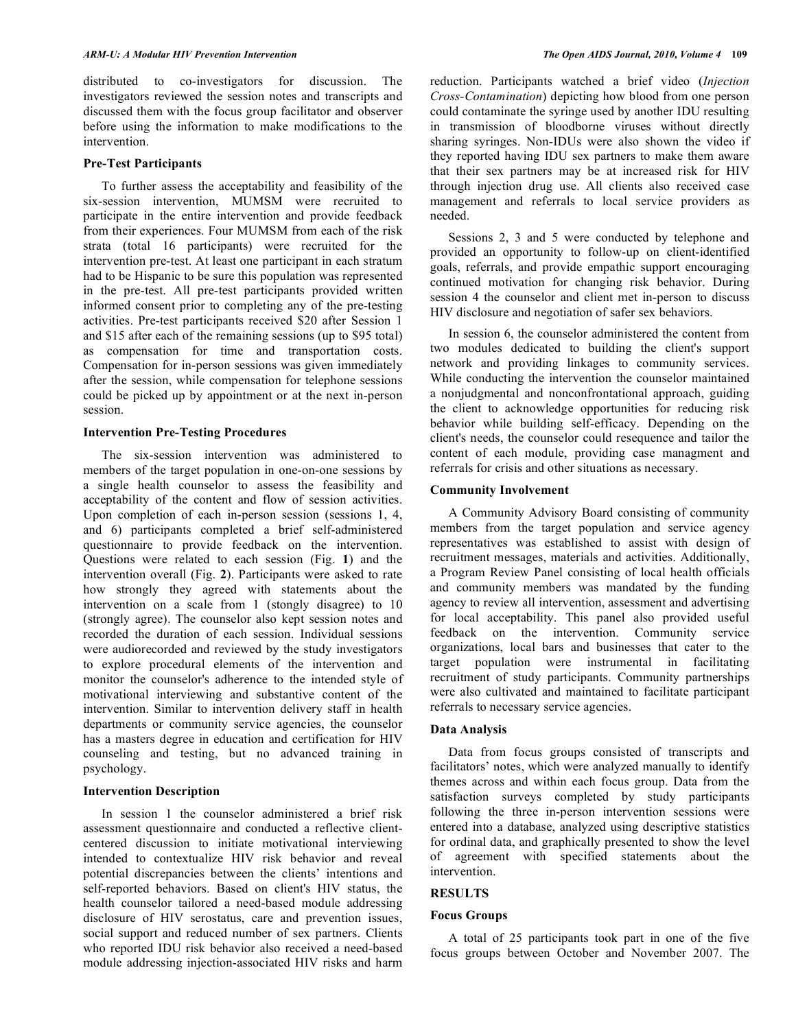distributed to co-investigators for discussion. The investigators reviewed the session notes and transcripts and discussed them with the focus group facilitator and observer before using the information to make modifications to the intervention.

#### **Pre-Test Participants**

 To further assess the acceptability and feasibility of the six-session intervention, MUMSM were recruited to participate in the entire intervention and provide feedback from their experiences. Four MUMSM from each of the risk strata (total 16 participants) were recruited for the intervention pre-test. At least one participant in each stratum had to be Hispanic to be sure this population was represented in the pre-test. All pre-test participants provided written informed consent prior to completing any of the pre-testing activities. Pre-test participants received \$20 after Session 1 and \$15 after each of the remaining sessions (up to \$95 total) as compensation for time and transportation costs. Compensation for in-person sessions was given immediately after the session, while compensation for telephone sessions could be picked up by appointment or at the next in-person session.

#### **Intervention Pre-Testing Procedures**

 The six-session intervention was administered to members of the target population in one-on-one sessions by a single health counselor to assess the feasibility and acceptability of the content and flow of session activities. Upon completion of each in-person session (sessions 1, 4, and 6) participants completed a brief self-administered questionnaire to provide feedback on the intervention. Questions were related to each session (Fig. **1**) and the intervention overall (Fig. **2**). Participants were asked to rate how strongly they agreed with statements about the intervention on a scale from 1 (stongly disagree) to 10 (strongly agree). The counselor also kept session notes and recorded the duration of each session. Individual sessions were audiorecorded and reviewed by the study investigators to explore procedural elements of the intervention and monitor the counselor's adherence to the intended style of motivational interviewing and substantive content of the intervention. Similar to intervention delivery staff in health departments or community service agencies, the counselor has a masters degree in education and certification for HIV counseling and testing, but no advanced training in psychology.

## **Intervention Description**

 In session 1 the counselor administered a brief risk assessment questionnaire and conducted a reflective clientcentered discussion to initiate motivational interviewing intended to contextualize HIV risk behavior and reveal potential discrepancies between the clients' intentions and self-reported behaviors. Based on client's HIV status, the health counselor tailored a need-based module addressing disclosure of HIV serostatus, care and prevention issues, social support and reduced number of sex partners. Clients who reported IDU risk behavior also received a need-based module addressing injection-associated HIV risks and harm

reduction. Participants watched a brief video (*Injection Cross-Contamination*) depicting how blood from one person could contaminate the syringe used by another IDU resulting in transmission of bloodborne viruses without directly sharing syringes. Non-IDUs were also shown the video if they reported having IDU sex partners to make them aware that their sex partners may be at increased risk for HIV through injection drug use. All clients also received case management and referrals to local service providers as needed.

 Sessions 2, 3 and 5 were conducted by telephone and provided an opportunity to follow-up on client-identified goals, referrals, and provide empathic support encouraging continued motivation for changing risk behavior. During session 4 the counselor and client met in-person to discuss HIV disclosure and negotiation of safer sex behaviors.

 In session 6, the counselor administered the content from two modules dedicated to building the client's support network and providing linkages to community services. While conducting the intervention the counselor maintained a nonjudgmental and nonconfrontational approach, guiding the client to acknowledge opportunities for reducing risk behavior while building self-efficacy. Depending on the client's needs, the counselor could resequence and tailor the content of each module, providing case managment and referrals for crisis and other situations as necessary.

#### **Community Involvement**

 A Community Advisory Board consisting of community members from the target population and service agency representatives was established to assist with design of recruitment messages, materials and activities. Additionally, a Program Review Panel consisting of local health officials and community members was mandated by the funding agency to review all intervention, assessment and advertising for local acceptability. This panel also provided useful feedback on the intervention. Community service organizations, local bars and businesses that cater to the target population were instrumental in facilitating recruitment of study participants. Community partnerships were also cultivated and maintained to facilitate participant referrals to necessary service agencies.

## **Data Analysis**

 Data from focus groups consisted of transcripts and facilitators' notes, which were analyzed manually to identify themes across and within each focus group. Data from the satisfaction surveys completed by study participants following the three in-person intervention sessions were entered into a database, analyzed using descriptive statistics for ordinal data, and graphically presented to show the level of agreement with specified statements about the intervention.

## **RESULTS**

#### **Focus Groups**

 A total of 25 participants took part in one of the five focus groups between October and November 2007. The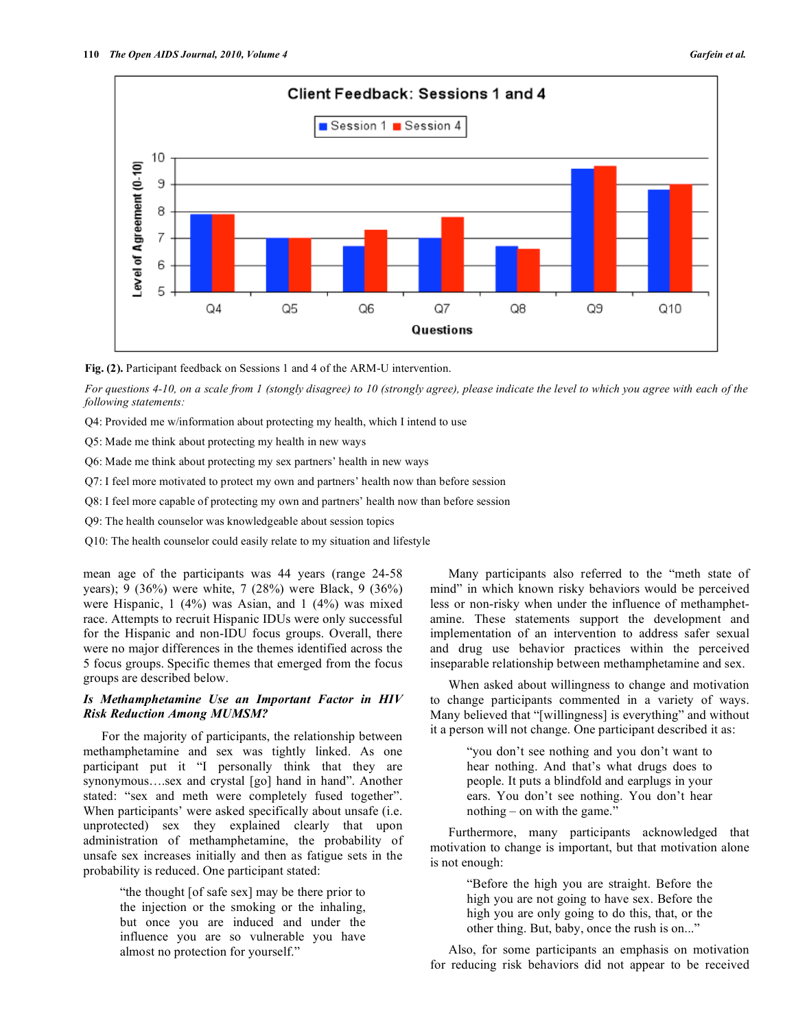

**Fig. (2).** Participant feedback on Sessions 1 and 4 of the ARM-U intervention.

*For questions 4-10, on a scale from 1 (stongly disagree) to 10 (strongly agree), please indicate the level to which you agree with each of the following statements:* 

Q4: Provided me w/information about protecting my health, which I intend to use

Q5: Made me think about protecting my health in new ways

Q6: Made me think about protecting my sex partners' health in new ways

Q7: I feel more motivated to protect my own and partners' health now than before session

Q8: I feel more capable of protecting my own and partners' health now than before session

Q9: The health counselor was knowledgeable about session topics

Q10: The health counselor could easily relate to my situation and lifestyle

mean age of the participants was 44 years (range 24-58 years); 9 (36%) were white, 7 (28%) were Black, 9 (36%) were Hispanic, 1 (4%) was Asian, and 1 (4%) was mixed race. Attempts to recruit Hispanic IDUs were only successful for the Hispanic and non-IDU focus groups. Overall, there were no major differences in the themes identified across the 5 focus groups. Specific themes that emerged from the focus groups are described below.

## *Is Methamphetamine Use an Important Factor in HIV Risk Reduction Among MUMSM?*

 For the majority of participants, the relationship between methamphetamine and sex was tightly linked. As one participant put it "I personally think that they are synonymous....sex and crystal [go] hand in hand". Another stated: "sex and meth were completely fused together". When participants' were asked specifically about unsafe (i.e. unprotected) sex they explained clearly that upon administration of methamphetamine, the probability of unsafe sex increases initially and then as fatigue sets in the probability is reduced. One participant stated:

> "the thought [of safe sex] may be there prior to the injection or the smoking or the inhaling, but once you are induced and under the influence you are so vulnerable you have almost no protection for yourself."

 Many participants also referred to the "meth state of mind" in which known risky behaviors would be perceived less or non-risky when under the influence of methamphetamine. These statements support the development and implementation of an intervention to address safer sexual and drug use behavior practices within the perceived inseparable relationship between methamphetamine and sex.

 When asked about willingness to change and motivation to change participants commented in a variety of ways. Many believed that "[willingness] is everything" and without it a person will not change. One participant described it as:

> "you don't see nothing and you don't want to hear nothing. And that's what drugs does to people. It puts a blindfold and earplugs in your ears. You don't see nothing. You don't hear nothing – on with the game."

 Furthermore, many participants acknowledged that motivation to change is important, but that motivation alone is not enough:

> "Before the high you are straight. Before the high you are not going to have sex. Before the high you are only going to do this, that, or the other thing. But, baby, once the rush is on..."

 Also, for some participants an emphasis on motivation for reducing risk behaviors did not appear to be received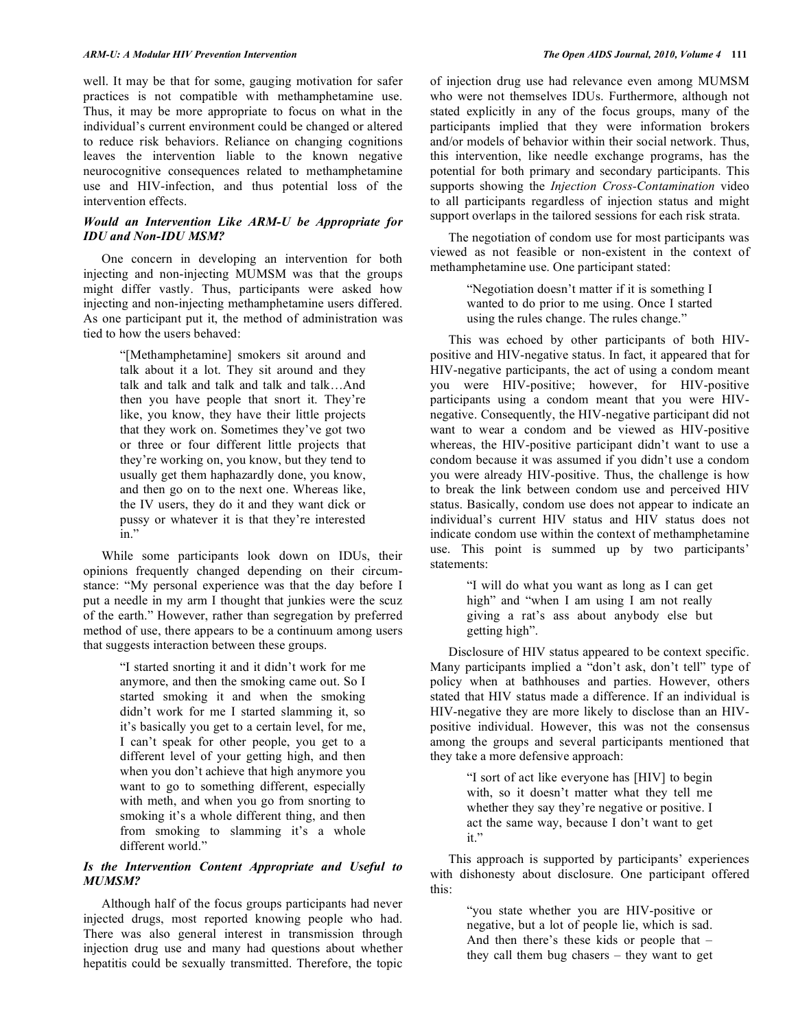well. It may be that for some, gauging motivation for safer practices is not compatible with methamphetamine use. Thus, it may be more appropriate to focus on what in the individual's current environment could be changed or altered to reduce risk behaviors. Reliance on changing cognitions leaves the intervention liable to the known negative neurocognitive consequences related to methamphetamine use and HIV-infection, and thus potential loss of the intervention effects.

## *Would an Intervention Like ARM-U be Appropriate for IDU and Non-IDU MSM?*

 One concern in developing an intervention for both injecting and non-injecting MUMSM was that the groups might differ vastly. Thus, participants were asked how injecting and non-injecting methamphetamine users differed. As one participant put it, the method of administration was tied to how the users behaved:

> "[Methamphetamine] smokers sit around and talk about it a lot. They sit around and they talk and talk and talk and talk and talk…And then you have people that snort it. They're like, you know, they have their little projects that they work on. Sometimes they've got two or three or four different little projects that they're working on, you know, but they tend to usually get them haphazardly done, you know, and then go on to the next one. Whereas like, the IV users, they do it and they want dick or pussy or whatever it is that they're interested in."

 While some participants look down on IDUs, their opinions frequently changed depending on their circumstance: "My personal experience was that the day before I put a needle in my arm I thought that junkies were the scuz of the earth." However, rather than segregation by preferred method of use, there appears to be a continuum among users that suggests interaction between these groups.

> "I started snorting it and it didn't work for me anymore, and then the smoking came out. So I started smoking it and when the smoking didn't work for me I started slamming it, so it's basically you get to a certain level, for me, I can't speak for other people, you get to a different level of your getting high, and then when you don't achieve that high anymore you want to go to something different, especially with meth, and when you go from snorting to smoking it's a whole different thing, and then from smoking to slamming it's a whole different world."

## *Is the Intervention Content Appropriate and Useful to MUMSM?*

 Although half of the focus groups participants had never injected drugs, most reported knowing people who had. There was also general interest in transmission through injection drug use and many had questions about whether hepatitis could be sexually transmitted. Therefore, the topic

of injection drug use had relevance even among MUMSM who were not themselves IDUs. Furthermore, although not stated explicitly in any of the focus groups, many of the participants implied that they were information brokers and/or models of behavior within their social network. Thus, this intervention, like needle exchange programs, has the potential for both primary and secondary participants. This supports showing the *Injection Cross-Contamination* video to all participants regardless of injection status and might support overlaps in the tailored sessions for each risk strata.

 The negotiation of condom use for most participants was viewed as not feasible or non-existent in the context of methamphetamine use. One participant stated:

> "Negotiation doesn't matter if it is something I wanted to do prior to me using. Once I started using the rules change. The rules change."

 This was echoed by other participants of both HIVpositive and HIV-negative status. In fact, it appeared that for HIV-negative participants, the act of using a condom meant you were HIV-positive; however, for HIV-positive participants using a condom meant that you were HIVnegative. Consequently, the HIV-negative participant did not want to wear a condom and be viewed as HIV-positive whereas, the HIV-positive participant didn't want to use a condom because it was assumed if you didn't use a condom you were already HIV-positive. Thus, the challenge is how to break the link between condom use and perceived HIV status. Basically, condom use does not appear to indicate an individual's current HIV status and HIV status does not indicate condom use within the context of methamphetamine use. This point is summed up by two participants' statements:

> "I will do what you want as long as I can get high" and "when I am using I am not really giving a rat's ass about anybody else but getting high".

 Disclosure of HIV status appeared to be context specific. Many participants implied a "don't ask, don't tell" type of policy when at bathhouses and parties. However, others stated that HIV status made a difference. If an individual is HIV-negative they are more likely to disclose than an HIVpositive individual. However, this was not the consensus among the groups and several participants mentioned that they take a more defensive approach:

> "I sort of act like everyone has [HIV] to begin with, so it doesn't matter what they tell me whether they say they're negative or positive. I act the same way, because I don't want to get it."

 This approach is supported by participants' experiences with dishonesty about disclosure. One participant offered this:

> "you state whether you are HIV-positive or negative, but a lot of people lie, which is sad. And then there's these kids or people that – they call them bug chasers – they want to get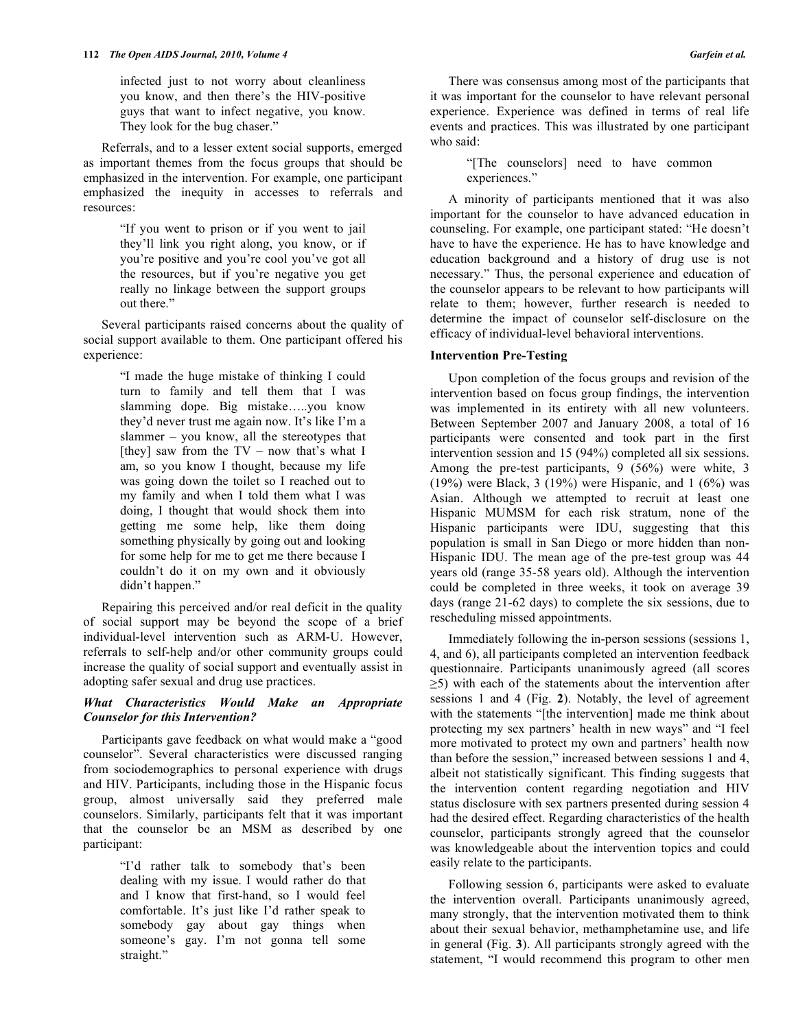infected just to not worry about cleanliness you know, and then there's the HIV-positive guys that want to infect negative, you know. They look for the bug chaser."

 Referrals, and to a lesser extent social supports, emerged as important themes from the focus groups that should be emphasized in the intervention. For example, one participant emphasized the inequity in accesses to referrals and resources:

> "If you went to prison or if you went to jail they'll link you right along, you know, or if you're positive and you're cool you've got all the resources, but if you're negative you get really no linkage between the support groups out there."

 Several participants raised concerns about the quality of social support available to them. One participant offered his experience:

> "I made the huge mistake of thinking I could turn to family and tell them that I was slamming dope. Big mistake…..you know they'd never trust me again now. It's like I'm a slammer – you know, all the stereotypes that [they] saw from the  $TV - now$  that's what I am, so you know I thought, because my life was going down the toilet so I reached out to my family and when I told them what I was doing, I thought that would shock them into getting me some help, like them doing something physically by going out and looking for some help for me to get me there because I couldn't do it on my own and it obviously didn't happen."

 Repairing this perceived and/or real deficit in the quality of social support may be beyond the scope of a brief individual-level intervention such as ARM-U. However, referrals to self-help and/or other community groups could increase the quality of social support and eventually assist in adopting safer sexual and drug use practices.

## *What Characteristics Would Make an Appropriate Counselor for this Intervention?*

 Participants gave feedback on what would make a "good counselor". Several characteristics were discussed ranging from sociodemographics to personal experience with drugs and HIV. Participants, including those in the Hispanic focus group, almost universally said they preferred male counselors. Similarly, participants felt that it was important that the counselor be an MSM as described by one participant:

> "I'd rather talk to somebody that's been dealing with my issue. I would rather do that and I know that first-hand, so I would feel comfortable. It's just like I'd rather speak to somebody gay about gay things when someone's gay. I'm not gonna tell some straight."

 There was consensus among most of the participants that it was important for the counselor to have relevant personal experience. Experience was defined in terms of real life events and practices. This was illustrated by one participant who said:

> "[The counselors] need to have common experiences."

 A minority of participants mentioned that it was also important for the counselor to have advanced education in counseling. For example, one participant stated: "He doesn't have to have the experience. He has to have knowledge and education background and a history of drug use is not necessary." Thus, the personal experience and education of the counselor appears to be relevant to how participants will relate to them; however, further research is needed to determine the impact of counselor self-disclosure on the efficacy of individual-level behavioral interventions.

## **Intervention Pre-Testing**

 Upon completion of the focus groups and revision of the intervention based on focus group findings, the intervention was implemented in its entirety with all new volunteers. Between September 2007 and January 2008, a total of 16 participants were consented and took part in the first intervention session and 15 (94%) completed all six sessions. Among the pre-test participants, 9 (56%) were white, 3  $(19%)$  were Black, 3 (19%) were Hispanic, and 1 (6%) was Asian. Although we attempted to recruit at least one Hispanic MUMSM for each risk stratum, none of the Hispanic participants were IDU, suggesting that this population is small in San Diego or more hidden than non-Hispanic IDU. The mean age of the pre-test group was 44 years old (range 35-58 years old). Although the intervention could be completed in three weeks, it took on average 39 days (range 21-62 days) to complete the six sessions, due to rescheduling missed appointments.

 Immediately following the in-person sessions (sessions 1, 4, and 6), all participants completed an intervention feedback questionnaire. Participants unanimously agreed (all scores  $\geq$ 5) with each of the statements about the intervention after sessions 1 and 4 (Fig. **2**). Notably, the level of agreement with the statements "[the intervention] made me think about protecting my sex partners' health in new ways" and "I feel more motivated to protect my own and partners' health now than before the session," increased between sessions 1 and 4, albeit not statistically significant. This finding suggests that the intervention content regarding negotiation and HIV status disclosure with sex partners presented during session 4 had the desired effect. Regarding characteristics of the health counselor, participants strongly agreed that the counselor was knowledgeable about the intervention topics and could easily relate to the participants.

 Following session 6, participants were asked to evaluate the intervention overall. Participants unanimously agreed, many strongly, that the intervention motivated them to think about their sexual behavior, methamphetamine use, and life in general (Fig. **3**). All participants strongly agreed with the statement, "I would recommend this program to other men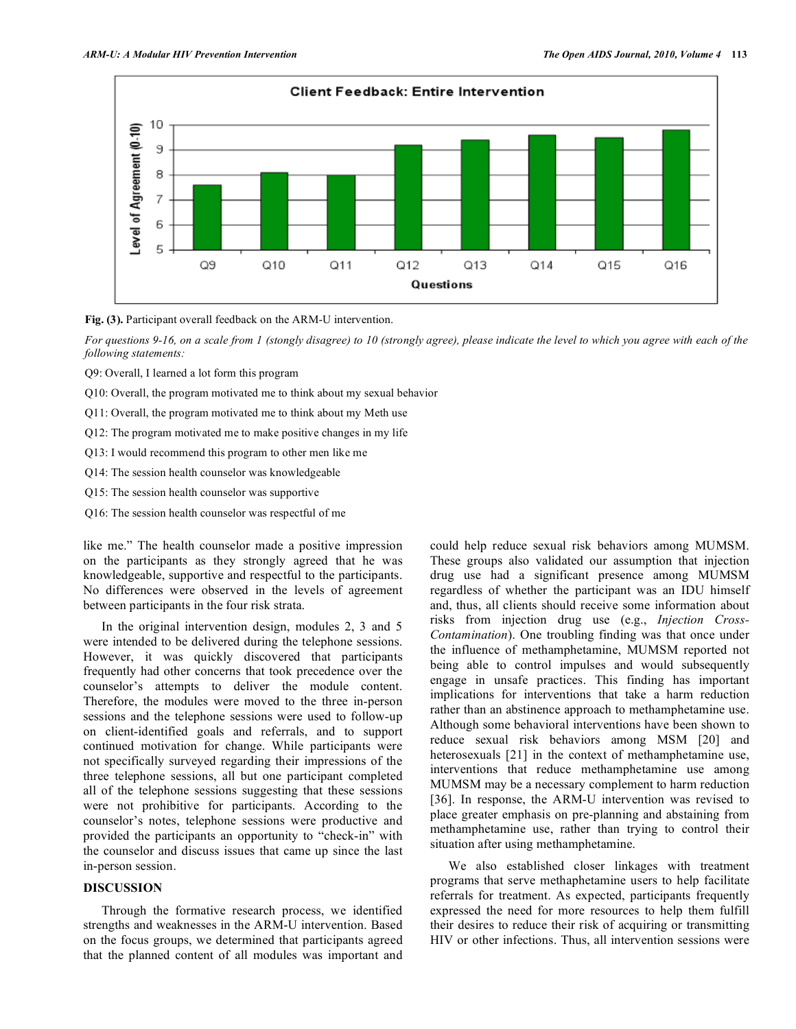

**Fig. (3).** Participant overall feedback on the ARM-U intervention.

*For questions 9-16, on a scale from 1 (stongly disagree) to 10 (strongly agree), please indicate the level to which you agree with each of the following statements:* 

Q9: Overall, I learned a lot form this program

Q10: Overall, the program motivated me to think about my sexual behavior

Q11: Overall, the program motivated me to think about my Meth use

- Q12: The program motivated me to make positive changes in my life
- Q13: I would recommend this program to other men like me
- Q14: The session health counselor was knowledgeable
- Q15: The session health counselor was supportive
- Q16: The session health counselor was respectful of me

like me." The health counselor made a positive impression on the participants as they strongly agreed that he was knowledgeable, supportive and respectful to the participants. No differences were observed in the levels of agreement between participants in the four risk strata.

 In the original intervention design, modules 2, 3 and 5 were intended to be delivered during the telephone sessions. However, it was quickly discovered that participants frequently had other concerns that took precedence over the counselor's attempts to deliver the module content. Therefore, the modules were moved to the three in-person sessions and the telephone sessions were used to follow-up on client-identified goals and referrals, and to support continued motivation for change. While participants were not specifically surveyed regarding their impressions of the three telephone sessions, all but one participant completed all of the telephone sessions suggesting that these sessions were not prohibitive for participants. According to the counselor's notes, telephone sessions were productive and provided the participants an opportunity to "check-in" with the counselor and discuss issues that came up since the last in-person session.

#### **DISCUSSION**

 Through the formative research process, we identified strengths and weaknesses in the ARM-U intervention. Based on the focus groups, we determined that participants agreed that the planned content of all modules was important and

could help reduce sexual risk behaviors among MUMSM. These groups also validated our assumption that injection drug use had a significant presence among MUMSM regardless of whether the participant was an IDU himself and, thus, all clients should receive some information about risks from injection drug use (e.g., *Injection Cross-Contamination*). One troubling finding was that once under the influence of methamphetamine, MUMSM reported not being able to control impulses and would subsequently engage in unsafe practices. This finding has important implications for interventions that take a harm reduction rather than an abstinence approach to methamphetamine use. Although some behavioral interventions have been shown to reduce sexual risk behaviors among MSM [20] and heterosexuals [21] in the context of methamphetamine use, interventions that reduce methamphetamine use among MUMSM may be a necessary complement to harm reduction [36]. In response, the ARM-U intervention was revised to place greater emphasis on pre-planning and abstaining from methamphetamine use, rather than trying to control their situation after using methamphetamine.

 We also established closer linkages with treatment programs that serve methaphetamine users to help facilitate referrals for treatment. As expected, participants frequently expressed the need for more resources to help them fulfill their desires to reduce their risk of acquiring or transmitting HIV or other infections. Thus, all intervention sessions were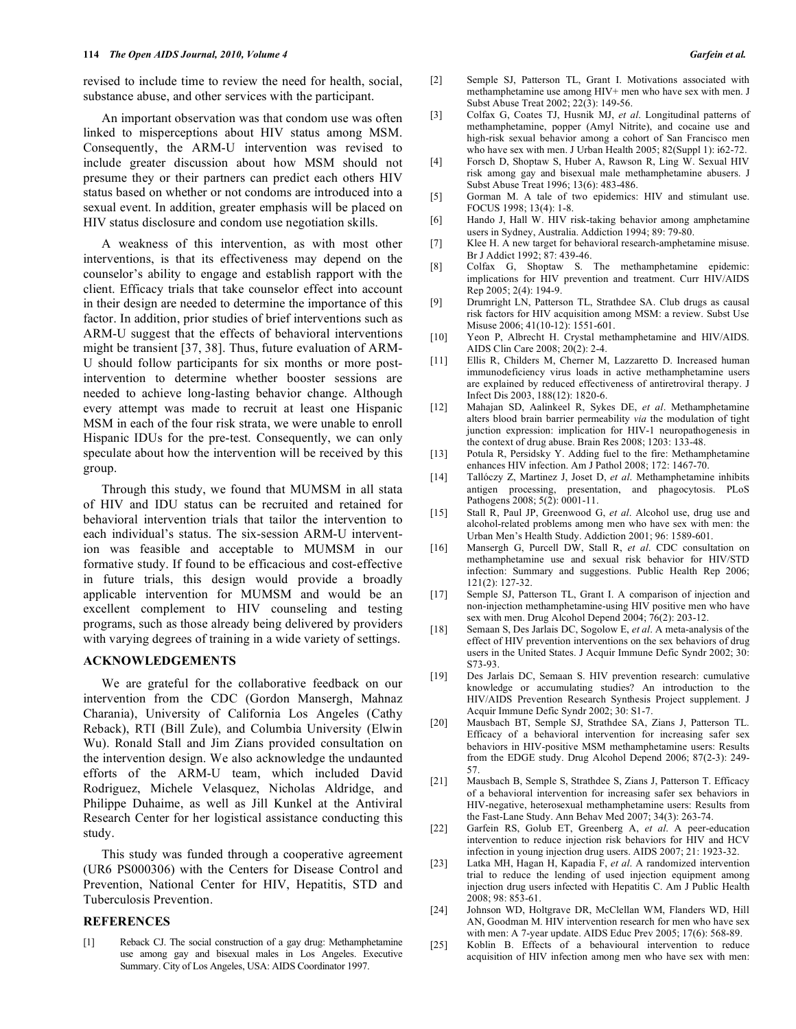revised to include time to review the need for health, social, substance abuse, and other services with the participant.

 An important observation was that condom use was often linked to misperceptions about HIV status among MSM. Consequently, the ARM-U intervention was revised to include greater discussion about how MSM should not presume they or their partners can predict each others HIV status based on whether or not condoms are introduced into a sexual event. In addition, greater emphasis will be placed on HIV status disclosure and condom use negotiation skills.

 A weakness of this intervention, as with most other interventions, is that its effectiveness may depend on the counselor's ability to engage and establish rapport with the client. Efficacy trials that take counselor effect into account in their design are needed to determine the importance of this factor. In addition, prior studies of brief interventions such as ARM-U suggest that the effects of behavioral interventions might be transient [37, 38]. Thus, future evaluation of ARM-U should follow participants for six months or more postintervention to determine whether booster sessions are needed to achieve long-lasting behavior change. Although every attempt was made to recruit at least one Hispanic MSM in each of the four risk strata, we were unable to enroll Hispanic IDUs for the pre-test. Consequently, we can only speculate about how the intervention will be received by this group.

 Through this study, we found that MUMSM in all stata of HIV and IDU status can be recruited and retained for behavioral intervention trials that tailor the intervention to each individual's status. The six-session ARM-U intervention was feasible and acceptable to MUMSM in our formative study. If found to be efficacious and cost-effective in future trials, this design would provide a broadly applicable intervention for MUMSM and would be an excellent complement to HIV counseling and testing programs, such as those already being delivered by providers with varying degrees of training in a wide variety of settings.

#### **ACKNOWLEDGEMENTS**

 We are grateful for the collaborative feedback on our intervention from the CDC (Gordon Mansergh, Mahnaz Charania), University of California Los Angeles (Cathy Reback), RTI (Bill Zule), and Columbia University (Elwin Wu). Ronald Stall and Jim Zians provided consultation on the intervention design. We also acknowledge the undaunted efforts of the ARM-U team, which included David Rodriguez, Michele Velasquez, Nicholas Aldridge, and Philippe Duhaime, as well as Jill Kunkel at the Antiviral Research Center for her logistical assistance conducting this study.

 This study was funded through a cooperative agreement (UR6 PS000306) with the Centers for Disease Control and Prevention, National Center for HIV, Hepatitis, STD and Tuberculosis Prevention.

## **REFERENCES**

[1] Reback CJ. The social construction of a gay drug: Methamphetamine use among gay and bisexual males in Los Angeles. Executive Summary. City of Los Angeles, USA: AIDS Coordinator 1997.

- [2] Semple SJ, Patterson TL, Grant I. Motivations associated with methamphetamine use among HIV+ men who have sex with men. J Subst Abuse Treat 2002; 22(3): 149-56.
- [3] Colfax G, Coates TJ, Husnik MJ, *et al*. Longitudinal patterns of methamphetamine, popper (Amyl Nitrite), and cocaine use and high-risk sexual behavior among a cohort of San Francisco men who have sex with men. J Urban Health 2005; 82(Suppl 1): i62-72.
- [4] Forsch D, Shoptaw S, Huber A, Rawson R, Ling W. Sexual HIV risk among gay and bisexual male methamphetamine abusers. J Subst Abuse Treat 1996; 13(6): 483-486.
- [5] Gorman M. A tale of two epidemics: HIV and stimulant use. FOCUS 1998; 13(4): 1-8.
- [6] Hando J, Hall W. HIV risk-taking behavior among amphetamine users in Sydney, Australia. Addiction 1994; 89: 79-80.
- [7] Klee H. A new target for behavioral research-amphetamine misuse. Br J Addict 1992; 87: 439-46.
- [8] Colfax G, Shoptaw S. The methamphetamine epidemic: implications for HIV prevention and treatment. Curr HIV/AIDS Rep 2005; 2(4): 194-9.
- [9] Drumright LN, Patterson TL, Strathdee SA. Club drugs as causal risk factors for HIV acquisition among MSM: a review. Subst Use Misuse 2006; 41(10-12): 1551-601.
- [10] Yeon P, Albrecht H. Crystal methamphetamine and HIV/AIDS. AIDS Clin Care 2008; 20(2): 2-4.
- [11] Ellis R, Childers M, Cherner M, Lazzaretto D. Increased human immunodeficiency virus loads in active methamphetamine users are explained by reduced effectiveness of antiretroviral therapy. J Infect Dis 2003, 188(12): 1820-6.
- [12] Mahajan SD, Aalinkeel R, Sykes DE, *et al*. Methamphetamine alters blood brain barrier permeability *via* the modulation of tight junction expression: implication for HIV-1 neuropathogenesis in the context of drug abuse. Brain Res 2008; 1203: 133-48.
- [13] Potula R, Persidsky Y. Adding fuel to the fire: Methamphetamine enhances HIV infection. Am J Pathol 2008; 172: 1467-70.
- [14] Tallóczy Z, Martinez J, Joset D, *et al*. Methamphetamine inhibits antigen processing, presentation, and phagocytosis. PLoS Pathogens 2008; 5(2): 0001-11.
- [15] Stall R, Paul JP, Greenwood G, *et al*. Alcohol use, drug use and alcohol-related problems among men who have sex with men: the Urban Men's Health Study. Addiction 2001; 96: 1589-601.
- [16] Mansergh G, Purcell DW, Stall R, *et al*. CDC consultation on methamphetamine use and sexual risk behavior for HIV/STD infection: Summary and suggestions. Public Health Rep 2006; 121(2): 127-32.
- [17] Semple SJ, Patterson TL, Grant I. A comparison of injection and non-injection methamphetamine-using HIV positive men who have sex with men. Drug Alcohol Depend 2004; 76(2): 203-12.
- [18] Semaan S, Des Jarlais DC, Sogolow E, *et al*. A meta-analysis of the effect of HIV prevention interventions on the sex behaviors of drug users in the United States. J Acquir Immune Defic Syndr 2002; 30: S73-93.
- [19] Des Jarlais DC, Semaan S. HIV prevention research: cumulative knowledge or accumulating studies? An introduction to the HIV/AIDS Prevention Research Synthesis Project supplement. J Acquir Immune Defic Syndr 2002; 30: S1-7.
- [20] Mausbach BT, Semple SJ, Strathdee SA, Zians J, Patterson TL. Efficacy of a behavioral intervention for increasing safer sex behaviors in HIV-positive MSM methamphetamine users: Results from the EDGE study. Drug Alcohol Depend 2006; 87(2-3): 249- 57.
- [21] Mausbach B, Semple S, Strathdee S, Zians J, Patterson T. Efficacy of a behavioral intervention for increasing safer sex behaviors in HIV-negative, heterosexual methamphetamine users: Results from the Fast-Lane Study. Ann Behav Med 2007; 34(3): 263-74.
- [22] Garfein RS, Golub ET, Greenberg A, *et al*. A peer-education intervention to reduce injection risk behaviors for HIV and HCV infection in young injection drug users. AIDS 2007; 21: 1923-32.
- [23] Latka MH, Hagan H, Kapadia F, *et al*. A randomized intervention trial to reduce the lending of used injection equipment among injection drug users infected with Hepatitis C. Am J Public Health 2008; 98: 853-61.
- [24] Johnson WD, Holtgrave DR, McClellan WM, Flanders WD, Hill AN, Goodman M. HIV intervention research for men who have sex with men: A 7-year update. AIDS Educ Prev 2005; 17(6): 568-89.
- [25] Koblin B. Effects of a behavioural intervention to reduce acquisition of HIV infection among men who have sex with men: